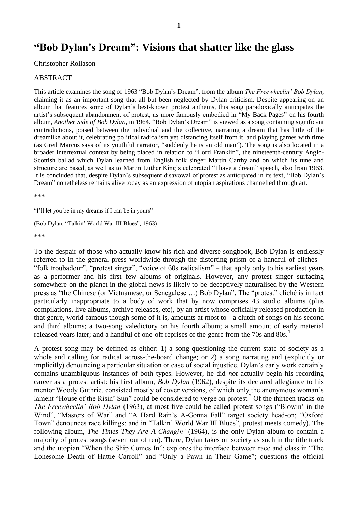## **"Bob Dylan's Dream": Visions that shatter like the glass**

Christopher Rollason

## ABSTRACT

This article examines the song of 1963 "Bob Dylan's Dream", from the album *The Freewheelin' Bob Dylan*, claiming it as an important song that all but been neglected by Dylan criticism. Despite appearing on an album that features some of Dylan's best-known protest anthems, this song paradoxically anticipates the artist's subsequent abandonment of protest, as more famously embodied in "My Back Pages" on his fourth album, *Another Side of Bob Dylan*, in 1964. "Bob Dylan's Dream" is viewed as a song containing significant contradictions, poised between the individual and the collective, narrating a dream that has little of the dreamlike about it, celebrating political radicalism yet distancing itself from it, and playing games with time (as Greil Marcus says of its youthful narrator, "suddenly he is an old man"). The song is also located in a broader intertextual context by being placed in relation to "Lord Franklin", the nineteenth-century Anglo-Scottish ballad which Dylan learned from English folk singer Martin Carthy and on which its tune and structure are based, as well as to Martin Luther King's celebrated "I have a dream" speech, also from 1963. It is concluded that, despite Dylan's subsequent disavowal of protest as anticipated in its text, "Bob Dylan's Dream" nonetheless remains alive today as an expression of utopian aspirations channelled through art.

\*\*\*

"I'll let you be in my dreams if I can be in yours"

(Bob Dylan, "Talkin' World War III Blues", 1963)

\*\*\*

To the despair of those who actually know his rich and diverse songbook, Bob Dylan is endlessly referred to in the general press worldwide through the distorting prism of a handful of clichés – "folk troubadour", "protest singer", "voice of 60s radicalism" – that apply only to his earliest years as a performer and his first few albums of originals. However, any protest singer surfacing somewhere on the planet in the global news is likely to be deceptively naturalised by the Western press as "the Chinese (or Vietnamese, or Senegalese …) Bob Dylan". The "protest" cliché is in fact particularly inappropriate to a body of work that by now comprises 43 studio albums (plus compilations, live albums, archive releases, etc), by an artist whose officially released production in that genre, world-famous though some of it is, amounts at most to - a clutch of songs on his second and third albums; a two-song valedictory on his fourth album; a small amount of early material released years later; and a handful of one-off reprises of the genre from the 70s and 80s.<sup>1</sup>

A protest song may be defined as either: 1) a song questioning the current state of society as a whole and calling for radical across-the-board change; or 2) a song narrating and (explicitly or implicitly) denouncing a particular situation or case of social injustice. Dylan's early work certainly contains unambiguous instances of both types. However, he did *not* actually begin his recording career as a protest artist: his first album, *Bob Dylan* (1962), despite its declared allegiance to his mentor Woody Guthrie, consisted mostly of cover versions, of which only the anonymous woman's lament "House of the Risin' Sun" could be considered to verge on protest.<sup>2</sup> Of the thirteen tracks on *The Freewheelin' Bob Dylan* (1963), at most five could be called protest songs ("Blowin' in the Wind", "Masters of War" and "A Hard Rain's A-Gonna Fall" target society head-on; "Oxford Town" denounces race killings; and in "Talkin' World War III Blues", protest meets comedy). The following album, *The Times They Are A-Changin'* (1964), is the only Dylan album to contain a majority of protest songs (seven out of ten). There, Dylan takes on society as such in the title track and the utopian "When the Ship Comes In"; explores the interface between race and class in "The Lonesome Death of Hattie Carroll" and "Only a Pawn in Their Game"; questions the official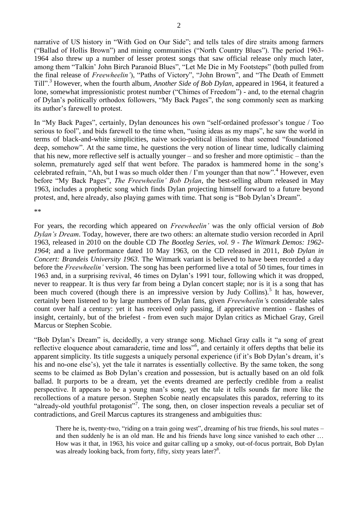narrative of US history in "With God on Our Side"; and tells tales of dire straits among farmers ("Ballad of Hollis Brown") and mining communities ("North Country Blues"). The period 1963- 1964 also threw up a number of lesser protest songs that saw official release only much later, among them "Talkin' John Birch Paranoid Blues", "Let Me Die in My Footsteps" (both pulled from the final release of *Freewheelin'*), "Paths of Victory", "John Brown", and "The Death of Emmett Till".<sup>3</sup> However, when the fourth album, *Another Side of Bob Dylan*, appeared in 1964, it featured a lone, somewhat impressionistic protest number ("Chimes of Freedom") - and, to the eternal chagrin of Dylan's politically orthodox followers, "My Back Pages", the song commonly seen as marking its author's farewell to protest.

In "My Back Pages", certainly, Dylan denounces his own "self-ordained professor's tongue / Too serious to fool", and bids farewell to the time when, "using ideas as my maps", he saw the world in terms of black-and-white simplicities, naive socio-political illusions that seemed "foundationed deep, somehow". At the same time, he questions the very notion of linear time, ludically claiming that his new, more reflective self is actually younger – and so fresher and more optimistic – than the solemn, prematurely aged self that went before. The paradox is hammered home in the song's celebrated refrain, "Ah, but I was so much older then  $/$  I'm younger than that now".<sup>4</sup> However, even before "My Back Pages", *The Freewheelin' Bob Dylan*, the best-selling album released in May 1963, includes a prophetic song which finds Dylan projecting himself forward to a future beyond protest, and, here already, also playing games with time. That song is "Bob Dylan's Dream".

\*\*

For years, the recording which appeared on *Freewheelin'* was the only official version of *Bob Dylan's Dream*. Today, however, there are two others: an alternate studio version recorded in April 1963, released in 2010 on the double CD *The Bootleg Series, vol. 9 - The Witmark Demos: 1962- 1964*; and a live performance dated 10 May 1963, on the CD released in 2011, *Bob Dylan in Concert: Brandeis University 1963*. The Witmark variant is believed to have been recorded a day before the *Freewheelin'* version. The song has been performed live a total of 50 times, four times in 1963 and, in a surprising revival, 46 times on Dylan's 1991 tour, following which it was dropped, never to reappear. It is thus very far from being a Dylan concert staple; nor is it is a song that has been much covered (though there is an impressive version by Judy Collins).<sup>5</sup> It has, however, certainly been listened to by large numbers of Dylan fans, given *Freewheelin'*s considerable sales count over half a century: yet it has received only passing, if appreciative mention - flashes of insight, certainly, but of the briefest - from even such major Dylan critics as Michael Gray, Greil Marcus or Stephen Scobie.

"Bob Dylan's Dream" is, decidedly, a very strange song. Michael Gray calls it "a song of great reflective eloquence about camaraderie, time and loss"<sup>6</sup>, and certainly it offers depths that belie its apparent simplicity. Its title suggests a uniquely personal experience (if it's Bob Dylan's dream, it's his and no-one else's), yet the tale it narrates is essentially collective. By the same token, the song seems to be claimed as Bob Dylan's creation and possession, but is actually based on an old folk ballad. It purports to be a dream, yet the events dreamed are perfectly credible from a realist perspective. It appears to be a young man's song, yet the tale it tells sounds far more like the recollections of a mature person. Stephen Scobie neatly encapsulates this paradox, referring to its "already-old youthful protagonist"<sup>7</sup>. The song, then, on closer inspection reveals a peculiar set of contradictions, and Greil Marcus captures its strangeness and ambiguities thus:

There he is, twenty-two, "riding on a train going west", dreaming of his true friends, his soul mates – and then suddenly he is an old man. He and his friends have long since vanished to each other … How was it that, in 1963, his voice and guitar calling up a smoky, out-of-focus portrait, Bob Dylan was already looking back, from forty, fifty, sixty years later?<sup>8</sup>.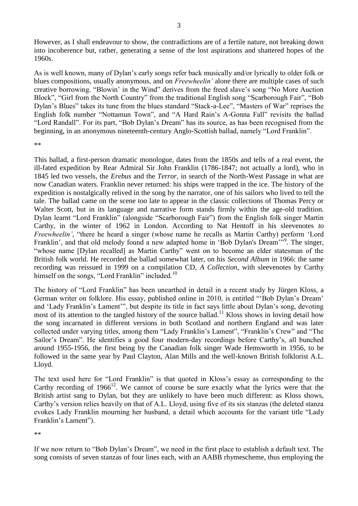However, as I shall endeavour to show, the contradictions are of a fertile nature, not breaking down into incoherence but, rather, generating a sense of the lost aspirations and shattered hopes of the 1960s.

As is well known, many of Dylan's early songs refer back musically and/or lyrically to older folk or blues compositions, usually anonymous, and on *Freewheelin'* alone there are multiple cases of such creative borrowing. "Blowin' in the Wind" derives from the freed slave's song "No More Auction Block", "Girl from the North Country" from the traditional English song "Scarborough Fair", "Bob Dylan's Blues" takes its tune from the blues standard "Stack-a-Lee", "Masters of War" reprises the English folk number "Nottamun Town", and "A Hard Rain's A-Gonna Fall" revisits the ballad "Lord Randall". For its part, "Bob Dylan's Dream" has its source, as has been recognised from the beginning, in an anonymous nineteenth-century Anglo-Scottish ballad, namely "Lord Franklin".

\*\*

This ballad, a first-person dramatic monologue, dates from the 1850s and tells of a real event, the ill-fated expedition by Rear Admiral Sir John Franklin (1786-1847; not actually a lord), who in 1845 led two vessels, the *Erebus* and the *Terror*, in search of the North-West Passage in what are now Canadian waters. Franklin never returned: his ships were trapped in the ice. The history of the expedition is nostalgically relived in the song by the narrator, one of his sailors who lived to tell the tale. The ballad came on the scene too late to appear in the classic collections of Thomas Percy or Walter Scott, but in its language and narrative form stands firmly within the age-old tradition. Dylan learnt "Lord Franklin" (alongside "Scarborough Fair") from the English folk singer Martin Carthy, in the winter of 1962 in London. According to Nat Hentoff in his sleevenotes *to Freewheelin'*, "there he heard a singer (whose name he recalls as Martin Carthy) perform 'Lord Franklin', and that old melody found a new adapted home in 'Bob Dylan's Dream'"<sup>9</sup>. The singer, "whose name [Dylan recalled] as Martin Carthy" went on to become an elder statesman of the British folk world. He recorded the ballad somewhat later, on his *Second Album* in 1966: the same recording was reissued in 1999 on a compilation CD, *A Collection*, with sleevenotes by Carthy himself on the songs, "Lord Franklin" included.<sup>10</sup>

The history of "Lord Franklin" has been unearthed in detail in a recent study by Jürgen Kloss, a German writer on folklore. His essay, published online in 2010, is entitled "'Bob Dylan's Dream' and 'Lady Franklin's Lament'", but despite its title in fact says little about Dylan's song, devoting most of its attention to the tangled history of the source ballad.<sup>11</sup> Kloss shows in loving detail how the song incarnated in different versions in both Scotland and northern England and was later collected under varying titles, among them "Lady Franklin's Lament", "Franklin's Crew" and "The Sailor's Dream". He identifies a good four modern-day recordings before Carthy's, all bunched around 1955-1956, the first being by the Canadian folk singer Wade Hemsworth in 1956, to be followed in the same year by Paul Clayton, Alan Mills and the well-known British folklorist A.L. Lloyd.

The text used here for "Lord Franklin" is that quoted in Kloss's essay as corresponding to the Carthy recording of  $1966^{12}$ . We cannot of course be sure exactly what the lyrics were that the British artist sang to Dylan, but they are unlikely to have been much different: as Kloss shows, Carthy's version relies heavily on that of A.L. Lloyd, using five of its six stanzas (the deleted stanza evokes Lady Franklin mourning her husband, a detail which accounts for the variant title "Lady Franklin's Lament").

\*\*

If we now return to "Bob Dylan's Dream", we need in the first place to establish a default text. The song consists of seven stanzas of four lines each, with an AABB rhymescheme, thus employing the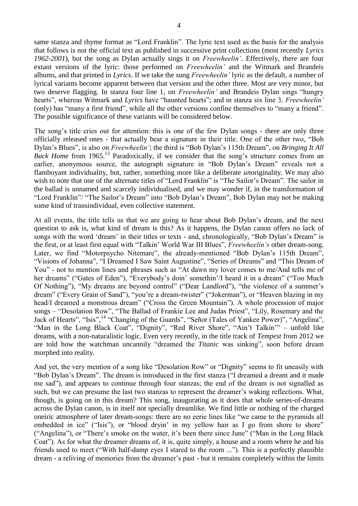same stanza and rhyme format as "Lord Franklin". The lyric text used as the basis for the analysis that follows is not the official text as published in successive print collections (most recently *Lyrics 1962-2001*), but the song as Dylan actually sings it on *Freewheelin'*. Effectively, there are four extant versions of the lyric: those performed on *Freewheelin'* and the Witmark and Brandeis albums, and that printed in *Lyrics*. If we take the sung *Freewheelin'* lyric as the default, a number of lyrical variants become apparent between that version and the other three. Most are very minor, but two deserve flagging. In stanza four line 1, on *Freewheelin'* and Brandeis Dylan sings "hungry hearts", whereas Witmark and *Lyrics* have "haunted hearts"; and in stanza six line 3*, Freewheelin'* (only) has "many a first friend", while all the other versions confine themselves to "many a friend". The possible significance of these variants will be considered below.

The song's title cries out for attention: this is one of the few Dylan songs - there are only three officially released ones - that actually bear a signature in their title. One of the other two, "Bob Dylan's Blues", is also on *Freewheelin'*; the third is "Bob Dylan's 115th Dream", on *Bringing It All Back Home* from 1965.<sup>13</sup> Paradoxically, if we consider that the song's structure comes from an earlier, anonymous source, the autograph signature in "Bob Dylan's Dream" reveals not a flamboyant individuality, but, rather, something more like a deliberate *un*originality. We may also wish to note that one of the alternate titles of "Lord Franklin" is "The Sailor's Dream". The sailor in the ballad is unnamed and scarcely individualised, and we may wonder if, in the transformation of "Lord Franklin"/ "The Sailor's Dream" into "Bob Dylan's Dream", Bob Dylan may not be making some kind of transindividual, even collective statement.

At all events, the title tells us that we are going to hear about Bob Dylan's dream, and the next question to ask is, what kind of dream is this? As it happens, the Dylan canon offers no lack of songs with the word 'dream' in their titles or texts - and, chronologically, "Bob Dylan's Dream" is the first, or at least first equal with "Talkin' World War III Blues", *Freewheelin's* other dream-song. Later, we find "Motorpsycho Nitemare", the already-mentioned "Bob Dylan's 115th Dream", "Visions of Johanna", "I Dreamed I Saw Saint Augustine", "Series of Dreams" and "This Dream of You" - not to mention lines and phrases such as "At dawn my lover comes to me/And tells me of her dreams" ("Gates of Eden"), "Everybody's doin' somethin'/I heard it in a dream" ("Too Much Of Nothing"), "My dreams are beyond control" ("Dear Landlord"), "the violence of a summer's dream" ("Every Grain of Sand"), "you're a dream-twister" ("Jokerman"), or "Heaven blazing in my head/I dreamed a monstrous dream" ("Cross the Green Mountain"). A whole procession of major songs – "Desolation Row", "The Ballad of Frankie Lee and Judas Priest", "Lily, Rosemary and the Jack of Hearts", "Isis", <sup>14</sup> "Changing of the Guards", "Señor (Tales of Yankee Power)", "Angelina", "Man in the Long Black Coat", "Dignity", "Red River Shore", "Ain't Talkin'" – unfold like dreams, with a non-naturalistic logic. Even very recently, in the title track of *Tempest* from 2012 we are told how the watchman uncannily "dreamed the *Titanic* was sinking", soon before dream morphed into reality.

And yet, the very mention of a song like "Desolation Row" or "Dignity" seems to fit uneasily with "Bob Dylan's Dream". The dream is introduced in the first stanza ("I dreamed a dream and it made me sad"), and appears to continue through four stanzas; the end of the dream is not signalled as such, but we can presume the last two stanzas to represent the dreamer's waking reflections. What, though, is going on in this dream? This song, inaugurating as it does that whole series-of-dreams across the Dylan canon, is in itself not specially dreamlike. We find little or nothing of the charged oneiric atmosphere of later dream-songs: there are no eerie lines like "we came to the pyramids all embedded in ice" ("Isis"), or "blood dryin' in my yellow hair as I go from shore to shore" ("Angelina"), or "There's smoke on the water, it's been there since June" ("Man in the Long Black Coat"). As for what the dreamer dreams of, it is, quite simply, a house and a room where he and his friends used to meet ("With half-damp eyes I stared to the room ..."). This is a perfectly plausible dream - a reliving of memories from the dreamer's past - but it remains completely within the limits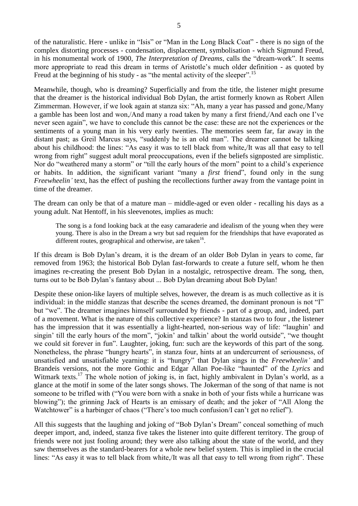of the naturalistic. Here - unlike in "Isis" or "Man in the Long Black Coat" - there is no sign of the complex distorting processes - condensation, displacement, symbolisation - which Sigmund Freud, in his monumental work of 1900, *The Interpretation of Dreams*, calls the "dream-work". It seems more appropriate to read this dream in terms of Aristotle's much older definition - as quoted by Freud at the beginning of his study - as "the mental activity of the sleeper".<sup>15</sup>

Meanwhile, though, who is dreaming? Superficially and from the title, the listener might presume that the dreamer is the historical individual Bob Dylan, the artist formerly known as Robert Allen Zimmerman. However, if we look again at stanza six: "Ah, many a year has passed and gone,/Many a gamble has been lost and won,/And many a road taken by many a first friend,/And each one I've never seen again", we have to conclude this cannot be the case: these are not the experiences or the sentiments of a young man in his very early twenties. The memories seem far, far away in the distant past; as Greil Marcus says, "suddenly he is an old man". The dreamer cannot be talking about his childhood: the lines: "As easy it was to tell black from white,/It was all that easy to tell wrong from right" suggest adult moral preoccupations, even if the beliefs signposted are simplistic. Nor do "weathered many a storm" or "till the early hours of the morn" point to a child's experience or habits. In addition, the significant variant "many a *first* friend", found only in the sung *Freewheelin'* text, has the effect of pushing the recollections further away from the vantage point in time of the dreamer.

The dream can only be that of a mature man – middle-aged or even older - recalling his days as a young adult. Nat Hentoff, in his sleevenotes, implies as much:

The song is a fond looking back at the easy camaraderie and idealism of the young when they were young. There is also in the Dream a wry but sad requiem for the friendships that have evaporated as different routes, geographical and otherwise, are taken<sup>16</sup>.

If this dream is Bob Dylan's dream, it is the dream of an older Bob Dylan in years to come, far removed from 1963; the historical Bob Dylan fast-forwards to create a future self, whom he then imagines re-creating the present Bob Dylan in a nostalgic, retrospective dream. The song, then, turns out to be Bob Dylan's fantasy about ... Bob Dylan dreaming about Bob Dylan!

Despite these onion-like layers of multiple selves, however, the dream is as much collective as it is individual: in the middle stanzas that describe the scenes dreamed, the dominant pronoun is not "I" but "we". The dreamer imagines himself surrounded by friends - part of a group, and, indeed, part of a movement. What is the nature of this collective experience? In stanzas two to four , the listener has the impression that it was essentially a light-hearted, non-serious way of life: "laughin' and singin' till the early hours of the morn", "jokin' and talkin' about the world outside", "we thought we could sit forever in fun". Laughter, joking, fun: such are the keywords of this part of the song. Nonetheless, the phrase "hungry hearts", in stanza four, hints at an undercurrent of seriousness, of unsatisfied and unsatisfiable yearning: it is "hungry" that Dylan sings in the *Freewheelin'* and Brandeis versions, not the more Gothic and Edgar Allan Poe-like "haunted" of the *Lyrics* and Witmark texts.<sup>17</sup> The whole notion of joking is, in fact, highly ambivalent in Dylan's world, as a glance at the motif in some of the later songs shows. The Jokerman of the song of that name is not someone to be trifled with ("You were born with a snake in both of your fists while a hurricane was blowing"); the grinning Jack of Hearts is an emissary of death; and the joker of "All Along the Watchtower" is a harbinger of chaos ("There's too much confusion/I can't get no relief").

All this suggests that the laughing and joking of "Bob Dylan's Dream" conceal something of much deeper import, and, indeed, stanza five takes the listener into quite different territory. The group of friends were not just fooling around; they were also talking about the state of the world, and they saw themselves as the standard-bearers for a whole new belief system. This is implied in the crucial lines: "As easy it was to tell black from white,/It was all that easy to tell wrong from right". These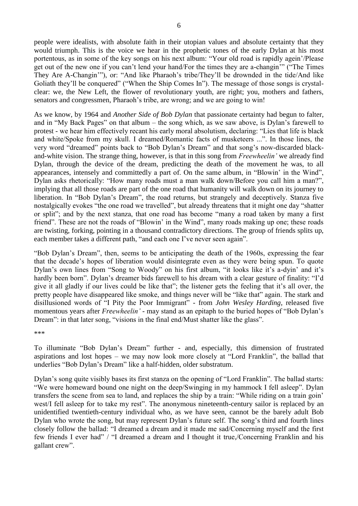people were idealists, with absolute faith in their utopian values and absolute certainty that they would triumph. This is the voice we hear in the prophetic tones of the early Dylan at his most portentous, as in some of the key songs on his next album: "Your old road is rapidly agein'/Please get out of the new one if you can't lend your hand/For the times they are a-changin'" ("The Times They Are A-Changin'"), or: "And like Pharaoh's tribe/They'll be drownded in the tide/And like Goliath they'll be conquered" ("When the Ship Comes In"). The message of those songs is crystalclear: we, the New Left, the flower of revolutionary youth, are right; you, mothers and fathers, senators and congressmen, Pharaoh's tribe, are wrong; and we are going to win!

As we know, by 1964 and *Another Side of Bob Dylan* that passionate certainty had begun to falter, and in "My Back Pages" on that album – the song which, as we saw above, is Dylan's farewell to protest - we hear him effectively recant his early moral absolutism, declaring: "Lies that life is black and white/Spoke from my skull. I dreamed/Romantic facts of musketeers ...". In those lines, the very word "dreamed" points back to "Bob Dylan's Dream" and that song's now-discarded blackand-white vision. The strange thing, however, is that in this song from *Freewheelin'* we already find Dylan, through the device of the dream, predicting the death of the movement he was, to all appearances, intensely and committedly a part of. On the same album, in "Blowin' in the Wind", Dylan asks rhetorically: "How many roads must a man walk down/Before you call him a man?", implying that all those roads are part of the one road that humanity will walk down on its journey to liberation. In "Bob Dylan's Dream", the road returns, but strangely and deceptively. Stanza five nostalgically evokes "the one road we travelled", but already threatens that it might one day "shatter or split"; and by the next stanza, that one road has become "many a road taken by many a first friend". These are not the roads of "Blowin' in the Wind", many roads making up one; these roads are twisting, forking, pointing in a thousand contradictory directions. The group of friends splits up, each member takes a different path, "and each one I've never seen again".

"Bob Dylan's Dream", then, seems to be anticipating the death of the 1960s, expressing the fear that the decade's hopes of liberation would disintegrate even as they were being spun. To quote Dylan's own lines from "Song to Woody" on his first album, "it looks like it's a-dyin' and it's hardly been born". Dylan's dreamer bids farewell to his dream with a clear gesture of finality: "I'd give it all gladly if our lives could be like that"; the listener gets the feeling that it's all over, the pretty people have disappeared like smoke, and things never will be "like that" again. The stark and disillusioned words of "I Pity the Poor Immigrant" - from *John Wesley Harding*, released five momentous years after *Freewheelin'* - may stand as an epitaph to the buried hopes of "Bob Dylan's Dream": in that later song, "visions in the final end/Must shatter like the glass".

\*\*\*

To illuminate "Bob Dylan's Dream" further - and, especially, this dimension of frustrated aspirations and lost hopes – we may now look more closely at "Lord Franklin", the ballad that underlies "Bob Dylan's Dream" like a half-hidden, older substratum.

Dylan's song quite visibly bases its first stanza on the opening of "Lord Franklin". The ballad starts: "We were homeward bound one night on the deep/Swinging in my hammock I fell asleep". Dylan transfers the scene from sea to land, and replaces the ship by a train: "While riding on a train goin' west/I fell asleep for to take my rest". The anonymous nineteenth-century sailor is replaced by an unidentified twentieth-century individual who, as we have seen, cannot be the barely adult Bob Dylan who wrote the song, but may represent Dylan's future self. The song's third and fourth lines closely follow the ballad: "I dreamed a dream and it made me sad/Concerning myself and the first few friends I ever had" / "I dreamed a dream and I thought it true,/Concerning Franklin and his gallant crew".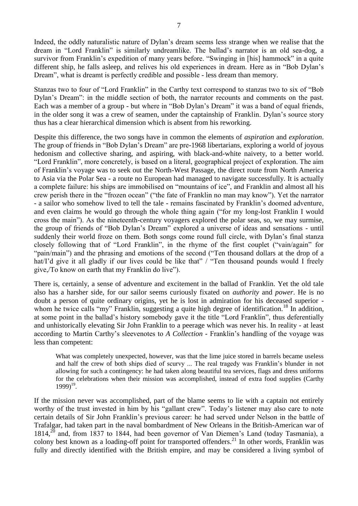Indeed, the oddly naturalistic nature of Dylan's dream seems less strange when we realise that the dream in "Lord Franklin" is similarly undreamlike. The ballad's narrator is an old sea-dog, a survivor from Franklin's expedition of many years before. "Swinging in [his] hammock" in a quite different ship, he falls asleep, and relives his old experiences in dream. Here as in "Bob Dylan's Dream", what is dreamt is perfectly credible and possible - less dream than memory.

Stanzas two to four of "Lord Franklin" in the Carthy text correspond to stanzas two to six of "Bob Dylan's Dream": in the middle section of both, the narrator recounts and comments on the past. Each was a member of a group - but where in "Bob Dylan's Dream" it was a band of equal friends, in the older song it was a crew of seamen, under the captainship of Franklin. Dylan's source story thus has a clear hierarchical dimension which is absent from his reworking.

Despite this difference, the two songs have in common the elements of *aspiration* and *exploration*. The group of friends in "Bob Dylan's Dream" are pre-1968 libertarians, exploring a world of joyous hedonism and collective sharing, and aspiring, with black-and-white naivety, to a better world. "Lord Franklin", more concretely, is based on a literal, geographical project of exploration. The aim of Franklin's voyage was to seek out the North-West Passage, the direct route from North America to Asia via the Polar Sea - a route no European had managed to navigate successfully. It is actually a complete failure: his ships are immobilised on "mountains of ice", and Franklin and almost all his crew perish there in the "frozen ocean" ("the fate of Franklin no man may know"). Yet the narrator - a sailor who somehow lived to tell the tale - remains fascinated by Franklin's doomed adventure, and even claims he would go through the whole thing again ("for my long-lost Franklin I would cross the main"). As the nineteenth-century voyagers explored the polar seas, so, we may surmise, the group of friends of "Bob Dylan's Dream" explored a universe of ideas and sensations - until suddenly their world froze on them. Both songs come round full circle, with Dylan's final stanza closely following that of "Lord Franklin", in the rhyme of the first couplet ("vain/again" for "pain/main") and the phrasing and emotions of the second ("Ten thousand dollars at the drop of a hat/I'd give it all gladly if our lives could be like that" / "Ten thousand pounds would I freely give,/To know on earth that my Franklin do live").

There is, certainly, a sense of adventure and excitement in the ballad of Franklin. Yet the old tale also has a harsher side, for our sailor seems curiously fixated on *authority* and *power*. He is no doubt a person of quite ordinary origins, yet he is lost in admiration for his deceased superior whom he twice calls "my" Franklin, suggesting a quite high degree of identification.<sup>18</sup> In addition. at some point in the ballad's history somebody gave it the title "Lord Franklin", thus deferentially and unhistorically elevating Sir John Franklin to a peerage which was never his. In reality - at least according to Martin Carthy's sleevenotes to *A Collection* - Franklin's handling of the voyage was less than competent:

What was completely unexpected, however, was that the lime juice stored in barrels became useless and half the crew of both ships died of scurvy ... The real tragedy was Franklin's blunder in not allowing for such a contingency: he had taken along beautiful tea services, flags and dress uniforms for the celebrations when their mission was accomplished, instead of extra food supplies (Carthy  $1999)^{19}$ .

If the mission never was accomplished, part of the blame seems to lie with a captain not entirely worthy of the trust invested in him by his "gallant crew". Today's listener may also care to note certain details of Sir John Franklin's previous career: he had served under Nelson in the battle of Trafalgar, had taken part in the naval bombardment of New Orleans in the British-American war of  $1814$ ,<sup>20</sup> and, from 1837 to 1844, had been governor of Van Diemen's Land (today Tasmania), a colony best known as a loading-off point for transported offenders.<sup>21</sup> In other words, Franklin was fully and directly identified with the British empire, and may be considered a living symbol of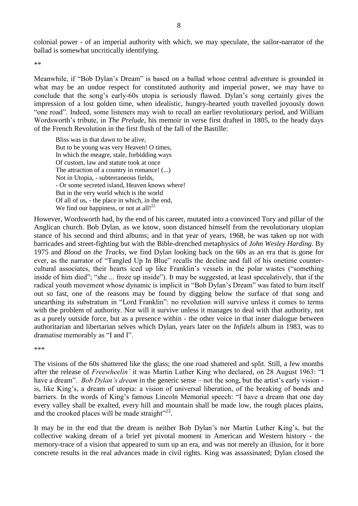colonial power - of an imperial authority with which, we may speculate, the sailor-narrator of the ballad is somewhat uncritically identifying.

\*\*

Meanwhile, if "Bob Dylan's Dream" is based on a ballad whose central adventure is grounded in what may be an undue respect for constituted authority and imperial power, we may have to conclude that the song's early-60s utopia is seriously flawed. Dylan's song certainly gives the impression of a lost golden time, when idealistic, hungry-hearted youth travelled joyously down "one road". Indeed, some listeners may wish to recall an earlier revolutionary period, and William Wordsworth's tribute, in *The Prelude*, his memoir in verse first drafted in 1805, to the heady days of the French Revolution in the first flush of the fall of the Bastille:

Bliss was in that dawn to be alive, But to be young was very Heaven! O times, In which the meagre, stale, forbidding ways Of custom, law and statute took at once The attraction of a country in romance! (...) Not in Utopia, - subterraneous fields, - Or some secreted island, Heaven knows where! But in the very world which is the world Of all of us, - the place in which, in the end, We find our happiness, or not at all!<sup>22</sup>

However, Wordsworth had, by the end of his career, mutated into a convinced Tory and pillar of the Anglican church. Bob Dylan, as we know, soon distanced himself from the revolutionary utopian stance of his second and third albums; and in that year of years, 1968, he was taken up not with barricades and street-fighting but with the Bible-drenched metaphysics of *John Wesley Harding*. By 1975 and *Blood on the Tracks*, we find Dylan looking back on the 60s as an era that is gone for ever, as the narrator of "Tangled Up In Blue" recalls the decline and fall of his onetime countercultural associates, their hearts iced up like Franklin's vessels in the polar wastes ("something inside of him died"; "she ... froze up inside"). It may be suggested, at least speculatively, that if the radical youth movement whose dynamic is implicit in "Bob Dylan's Dream" was fated to burn itself out so fast, one of the reasons may be found by digging below the surface of that song and unearthing its substratum in "Lord Franklin": no revolution will survive unless it comes to terms with the problem of authority. Nor will it survive unless it manages to deal with that authority, not as a purely outside force, but as a presence within - the other voice in that inner dialogue between authoritarian and libertarian selves which Dylan, years later on the *Infidels* album in 1983, was to dramatise memorably as "I and I".

\*\*\*

The visions of the 60s shattered like the glass; the one road shattered and split. Still, a few months after the release of *Freewheelin'* it was Martin Luther King who declared, on 28 August 1963: "I have a dream". *Bob Dylan's dream* in the generic sense – not the song, but the artist's early vision is, like King's, a dream of utopia: a vision of universal liberation, of the breaking of bonds and barriers. In the words of King's famous Lincoln Memorial speech: "I have a dream that one day every valley shall be exalted, every hill and mountain shall be made low, the rough places plains, and the crooked places will be made straight"<sup>23</sup>.

It may be in the end that the dream is neither Bob Dylan's nor Martin Luther King's, but the collective waking dream of a brief yet pivotal moment in American and Western history - the memory-trace of a vision that appeared to sum up an era, and was not merely an illusion, for it bore concrete results in the real advances made in civil rights. King was assassinated; Dylan closed the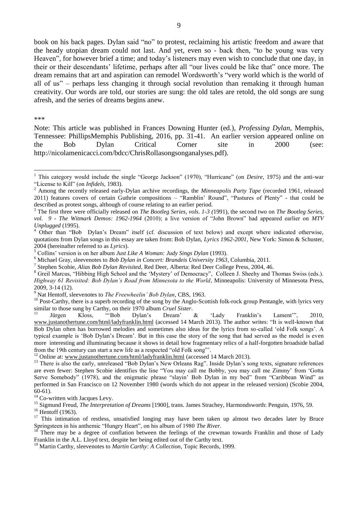book on his back pages. Dylan said "no" to protest, reclaiming his artistic freedom and aware that the heady utopian dream could not last. And yet, even so - back then, "to be young was very Heaven", for however brief a time; and today's listeners may even wish to conclude that one day, in their or their descendants' lifetime, perhaps after all "our lives could be like that" once more. The dream remains that art and aspiration can remodel Wordsworth's "very world which is the world of all of us" – perhaps less changing it through social revolution than remaking it through human creativity. Our words are told, our stories are sung: the old tales are retold, the old songs are sung afresh, and the series of dreams begins anew.

## \*\*\*

<u>.</u>

Note: This article was published in Frances Downing Hunter (ed.), *Professing Dylan*, Memphis, Tennessee: PhillipsMemphis Publishing, 2016, pp. 31-41. An earlier version appeared online on the Bob Dylan Critical Corner site in 2000 (see: http://nicolamenicacci.com/bdcc/ChrisRollasongsonganalyses.pdf).

<sup>6</sup> Michael Gray, sleevenotes to *Bob Dylan in Concert: Brandeis University 1963*, Columbia, 2011.

7 Stephen Scobie, *Alias Bob Dylan Revisited*, Red Deer, Alberta: Red Deer College Press, 2004, 46.

<sup>1</sup> This category would include the single "George Jackson" (1970), "Hurricane" (on *Desire*, 1975) and the anti-war "License to Kill" (on *Infidels*, 1983).

<sup>2</sup> Among the recently released early-Dylan archive recordings, the *Minneapolis Party Tape* (recorded 1961, released 2011) features covers of certain Guthrie compositions – "Ramblin' Round", "Pastures of Plenty" - that could be described as protest songs, although of course relating to an earlier period.

<sup>3</sup> The first three were officially released on *The Bootleg Series, vols. 1-3 (*1991), the second two on *The Bootleg Series, vol. 9 - The Witmark Demos: 1962-1964* (2010); a live version of "John Brown" had appeared earlier on *MTV Unplugged* (1995).

<sup>&</sup>lt;sup>4</sup> Other than "Bob Dylan's Dream" itself (cf. discussion of text below) and except where indicated otherwise, quotations from Dylan songs in this essay are taken from: Bob Dylan, *Lyrics 1962-2001*, New York: Simon & Schuster, 2004 (hereinafter referred to as *Lyrics*).

<sup>5</sup> Collins' version is on her album *Just Like A Woman: Judy Sings Dylan* (1993).

<sup>&</sup>lt;sup>8</sup> Greil Marcus, "Hibbing High School and the 'Mystery' of Democracy", Colleen J. Sheehy and Thomas Swiss (eds.). *Highway 61 Revisited: Bob Dylan's Road from Minnesota to the World*, Minneapolis: University of Minnesota Press, 2009, 3-14 (12).

<sup>9</sup> Nat Hentoff, sleevenotes to *The Freewheelin' Bob Dylan*, CBS, 1963.

<sup>&</sup>lt;sup>10</sup> Post-Carthy, there is a superb recording of the song by the Anglo-Scottish folk-rock group Pentangle, with lyrics very similar to those sung by Carthy, on their 1970 album *Cruel Sister*.

<sup>11</sup> Jürgen Kloss, "'Bob Dylan's Dream' & 'Lady Franklin's Lament'", 2010, [www.justanothertune.com/html/ladyfranklin.html](http://www.justanothertune.com/html/ladyfranklin.html) (accessed 14 March 2013). The author writes: "It is well-known that Bob Dylan often has borrowed melodies and sometimes also ideas for the lyrics from so-called 'old Folk songs'. A typical example is 'Bob Dylan's Dream'. But in this case the story of the song that had served as the model is even more interesting and illuminating because it shows in detail how fragmentary relics of a half-forgotten broadside ballad from the 19th century can start a new life as a respected "old Folk song"'.

<sup>&</sup>lt;sup>12</sup> Online at: [www.justanothertune.com/html/ladyfranklin.html](http://www.justanothertune.com/html/ladyfranklin.html) (accessed 14 March 2013).

<sup>&</sup>lt;sup>13</sup> There is also the early, unreleased "Bob Dylan's New Orleans Rag". Inside Dylan's song texts, signature references are even fewer: Stephen Scobie identifies the line "You may call me Bobby, you may call me Zimmy' from 'Gotta Serve Somebody" (1978), and the enigmatic phrase "slayin' Bob Dylan in my bed" from "Caribbean Wind" as performed in San Francisco on 12 November 1980 (words which do not appear in the released version) (Scobie 2004, 60-61).

 $14$  Co-written with Jacques Levy.

<sup>&</sup>lt;sup>15</sup> Sigmund Freud, *The Interpretation of Dreams* [1900], trans. James Strachey, Harmondsworth: Penguin, 1976, 59.  $16$  Hentoff (1963).

<sup>&</sup>lt;sup>17</sup> This intimation of restless, unsatisfied longing may have been taken up almost two decades later by Bruce Springsteen in his anthemic "Hungry Heart", on his album of 1980 *The River*.

There may be a degree of conflation between the feelings of the crewman towards Franklin and those of Lady Franklin in the A.L. Lloyd text, despite her being edited out of the Carthy text.

<sup>19</sup> Martin Carthy, sleevenotes to *Martin Carthy: A Collection*, Topic Records, 1999.